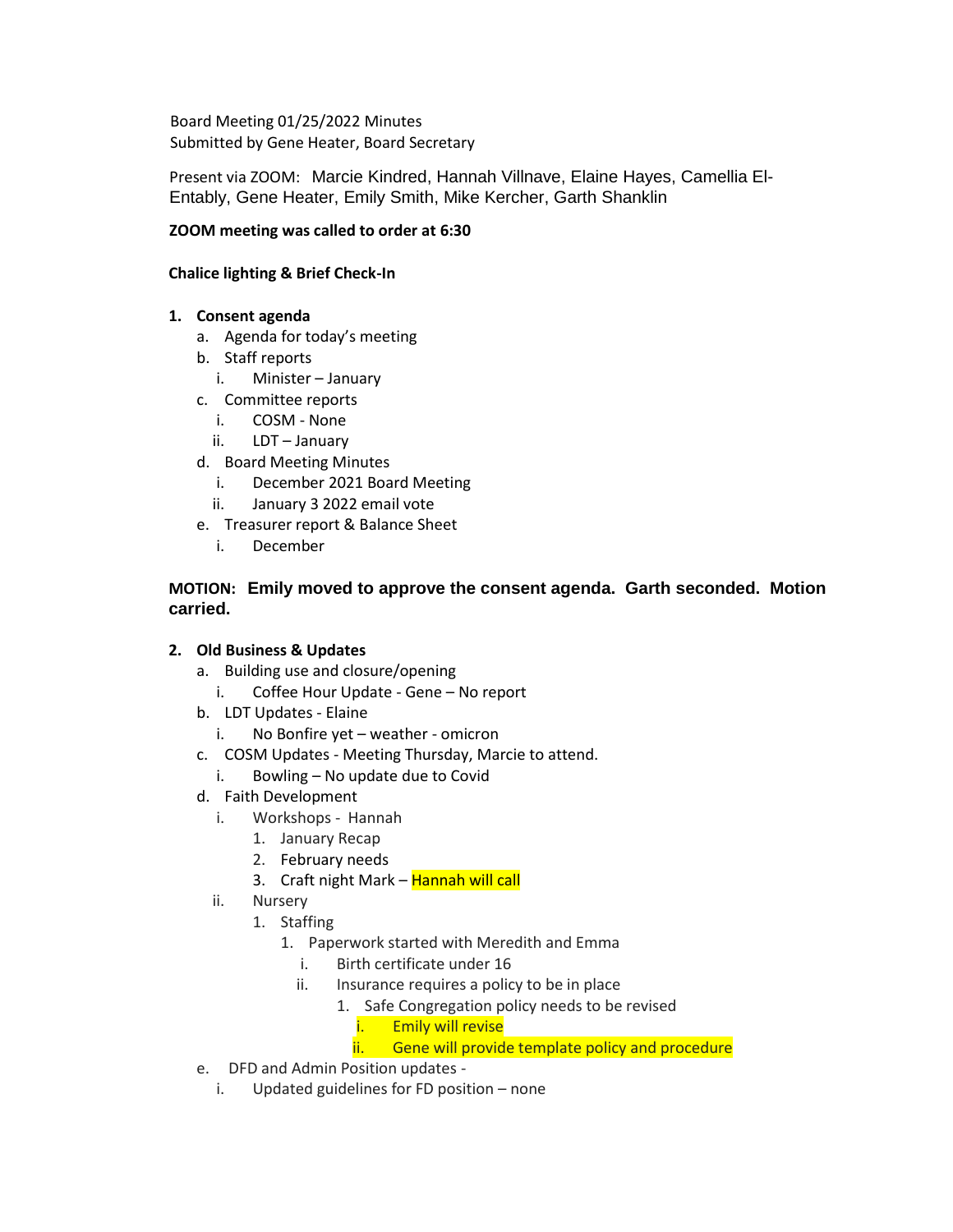Board Meeting 01/25/2022 Minutes Submitted by Gene Heater, Board Secretary

Present via ZOOM: Marcie Kindred, Hannah Villnave, Elaine Hayes, Camellia El-Entably, Gene Heater, Emily Smith, Mike Kercher, Garth Shanklin

## **ZOOM meeting was called to order at 6:30**

## **Chalice lighting & Brief Check-In**

## **1. Consent agenda**

- a. Agenda for today's meeting
- b. Staff reports
	- i. Minister January
- c. Committee reports
	- i. COSM None
	- ii. LDT January
- d. Board Meeting Minutes
	- i. December 2021 Board Meeting
	- ii. January 3 2022 email vote
- e. Treasurer report & Balance Sheet
	- i. December

## **MOTION: Emily moved to approve the consent agenda. Garth seconded. Motion carried.**

## **2. Old Business & Updates**

- a. Building use and closure/opening
	- i. Coffee Hour Update Gene No report
- b. LDT Updates Elaine
	- i. No Bonfire yet weather omicron
- c. COSM Updates Meeting Thursday, Marcie to attend.
	- i. Bowling No update due to Covid
- d. Faith Development
	- i. Workshops Hannah
		- 1. January Recap
			- 2. February needs
			- 3. Craft night Mark Hannah will call
	- ii. Nursery
		- 1. Staffing
			- 1. Paperwork started with Meredith and Emma
				- i. Birth certificate under 16
				- ii. Insurance requires a policy to be in place
					- 1. Safe Congregation policy needs to be revised
						- i. Emily will revise
						- ii. Gene will provide template policy and procedure
- e. DFD and Admin Position updates
	- i. Updated guidelines for FD position none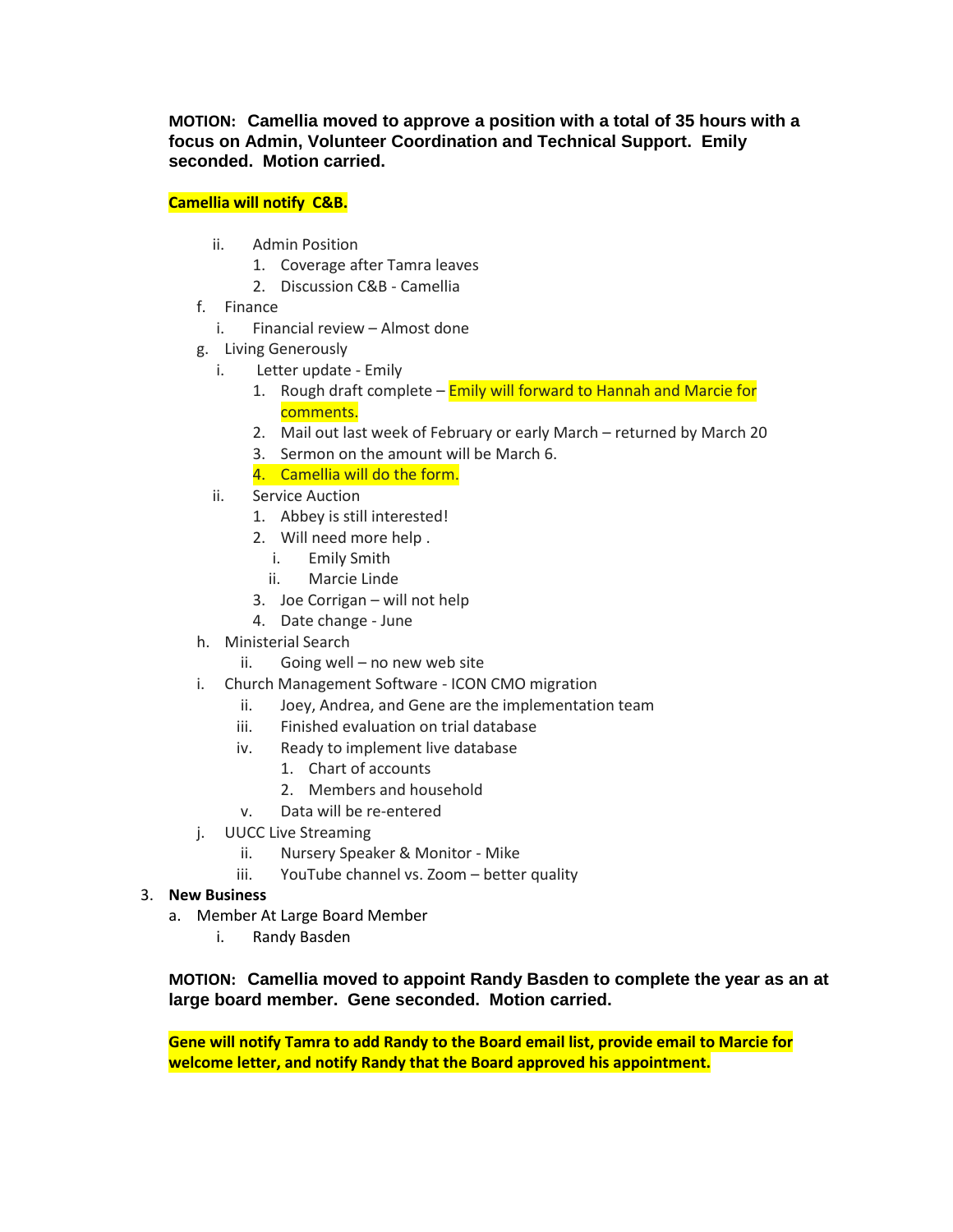**MOTION: Camellia moved to approve a position with a total of 35 hours with a focus on Admin, Volunteer Coordination and Technical Support. Emily seconded. Motion carried.**

## **Camellia will notify C&B.**

- ii. Admin Position
	- 1. Coverage after Tamra leaves
	- 2. Discussion C&B Camellia
- f. Finance
	- i. Financial review Almost done
- g. Living Generously
	- i. Letter update Emily
		- 1. Rough draft complete **Emily will forward to Hannah and Marcie for** comments.
		- 2. Mail out last week of February or early March returned by March 20
		- 3. Sermon on the amount will be March 6.
		- 4. Camellia will do the form.
	- ii. Service Auction
		- 1. Abbey is still interested!
		- 2. Will need more help .
			- i. Emily Smith
			- ii. Marcie Linde
		- 3. Joe Corrigan will not help
		- 4. Date change June
- h. Ministerial Search
	- ii. Going well no new web site
- i. Church Management Software ICON CMO migration
	- ii. Joey, Andrea, and Gene are the implementation team
	- iii. Finished evaluation on trial database
	- iv. Ready to implement live database
		- 1. Chart of accounts
		- 2. Members and household
	- v. Data will be re-entered
- j. UUCC Live Streaming
	- ii. Nursery Speaker & Monitor Mike
	- iii. YouTube channel vs. Zoom better quality

## 3. **New Business**

- a. Member At Large Board Member
	- i. Randy Basden

# **MOTION: Camellia moved to appoint Randy Basden to complete the year as an at large board member. Gene seconded. Motion carried.**

**Gene will notify Tamra to add Randy to the Board email list, provide email to Marcie for welcome letter, and notify Randy that the Board approved his appointment.**